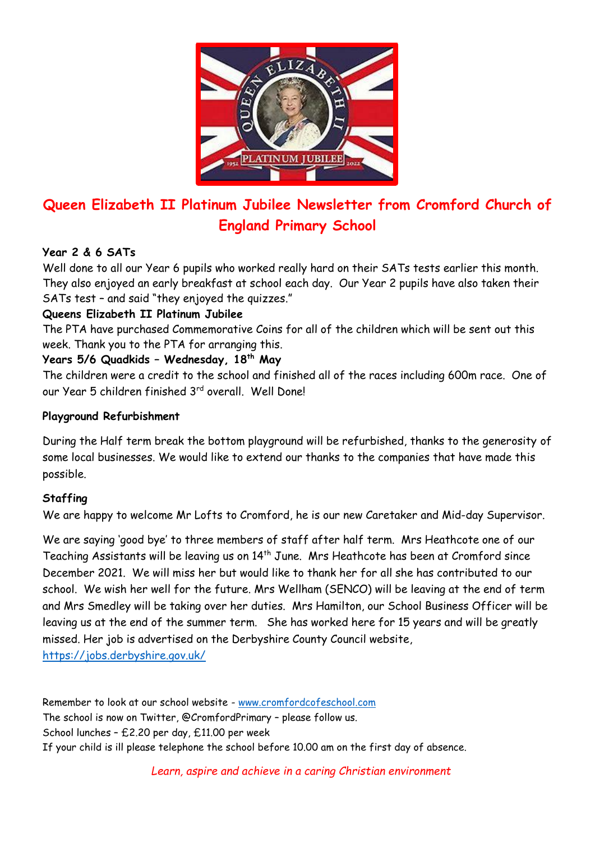

# **Queen Elizabeth II Platinum Jubilee Newsletter from Cromford Church of England Primary School**

# **Year 2 & 6 SATs**

Well done to all our Year 6 pupils who worked really hard on their SATs tests earlier this month. They also enjoyed an early breakfast at school each day. Our Year 2 pupils have also taken their SATs test – and said "they enjoyed the quizzes."

#### **Queens Elizabeth II Platinum Jubilee**

The PTA have purchased Commemorative Coins for all of the children which will be sent out this week. Thank you to the PTA for arranging this.

# **Years 5/6 Quadkids – Wednesday, 18th May**

The children were a credit to the school and finished all of the races including 600m race. One of our Year 5 children finished 3<sup>rd</sup> overall. Well Done!

#### **Playground Refurbishment**

During the Half term break the bottom playground will be refurbished, thanks to the generosity of some local businesses. We would like to extend our thanks to the companies that have made this possible.

# **Staffing**

We are happy to welcome Mr Lofts to Cromford, he is our new Caretaker and Mid-day Supervisor.

We are saying 'good bye' to three members of staff after half term. Mrs Heathcote one of our Teaching Assistants will be leaving us on 14<sup>th</sup> June. Mrs Heathcote has been at Cromford since December 2021. We will miss her but would like to thank her for all she has contributed to our school. We wish her well for the future. Mrs Wellham (SENCO) will be leaving at the end of term and Mrs Smedley will be taking over her duties. Mrs Hamilton, our School Business Officer will be leaving us at the end of the summer term. She has worked here for 15 years and will be greatly missed. Her job is advertised on the Derbyshire County Council website, <https://jobs.derbyshire.gov.uk/>

Remember to look at our school website - [www.cromfordcofeschool.com](http://www.cromfordcofeschool.com/) The school is now on Twitter, @CromfordPrimary – please follow us. School lunches – £2.20 per day, £11.00 per week If your child is ill please telephone the school before 10.00 am on the first day of absence.

*Learn, aspire and achieve in a caring Christian environment*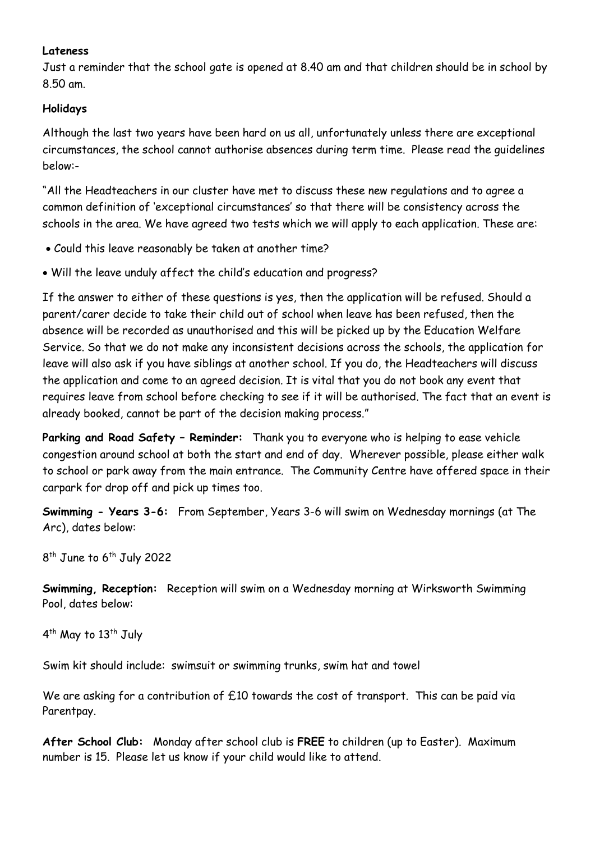#### **Lateness**

Just a reminder that the school gate is opened at 8.40 am and that children should be in school by 8.50 am.

# **Holidays**

Although the last two years have been hard on us all, unfortunately unless there are exceptional circumstances, the school cannot authorise absences during term time. Please read the guidelines below:-

"All the Headteachers in our cluster have met to discuss these new regulations and to agree a common definition of 'exceptional circumstances' so that there will be consistency across the schools in the area. We have agreed two tests which we will apply to each application. These are:

- Could this leave reasonably be taken at another time?
- Will the leave unduly affect the child's education and progress?

If the answer to either of these questions is yes, then the application will be refused. Should a parent/carer decide to take their child out of school when leave has been refused, then the absence will be recorded as unauthorised and this will be picked up by the Education Welfare Service. So that we do not make any inconsistent decisions across the schools, the application for leave will also ask if you have siblings at another school. If you do, the Headteachers will discuss the application and come to an agreed decision. It is vital that you do not book any event that requires leave from school before checking to see if it will be authorised. The fact that an event is already booked, cannot be part of the decision making process."

**Parking and Road Safety – Reminder:** Thank you to everyone who is helping to ease vehicle congestion around school at both the start and end of day. Wherever possible, please either walk to school or park away from the main entrance. The Community Centre have offered space in their carpark for drop off and pick up times too.

**Swimming - Years 3-6:** From September, Years 3-6 will swim on Wednesday mornings (at The Arc), dates below:

 $8^{\text{th}}$  June to 6<sup>th</sup> July 2022

**Swimming, Reception:** Reception will swim on a Wednesday morning at Wirksworth Swimming Pool, dates below:

4<sup>th</sup> May to 13<sup>th</sup> July

Swim kit should include: swimsuit or swimming trunks, swim hat and towel

We are asking for a contribution of £10 towards the cost of transport. This can be paid via Parentpay.

**After School Club:** Monday after school club is **FREE** to children (up to Easter). Maximum number is 15. Please let us know if your child would like to attend.